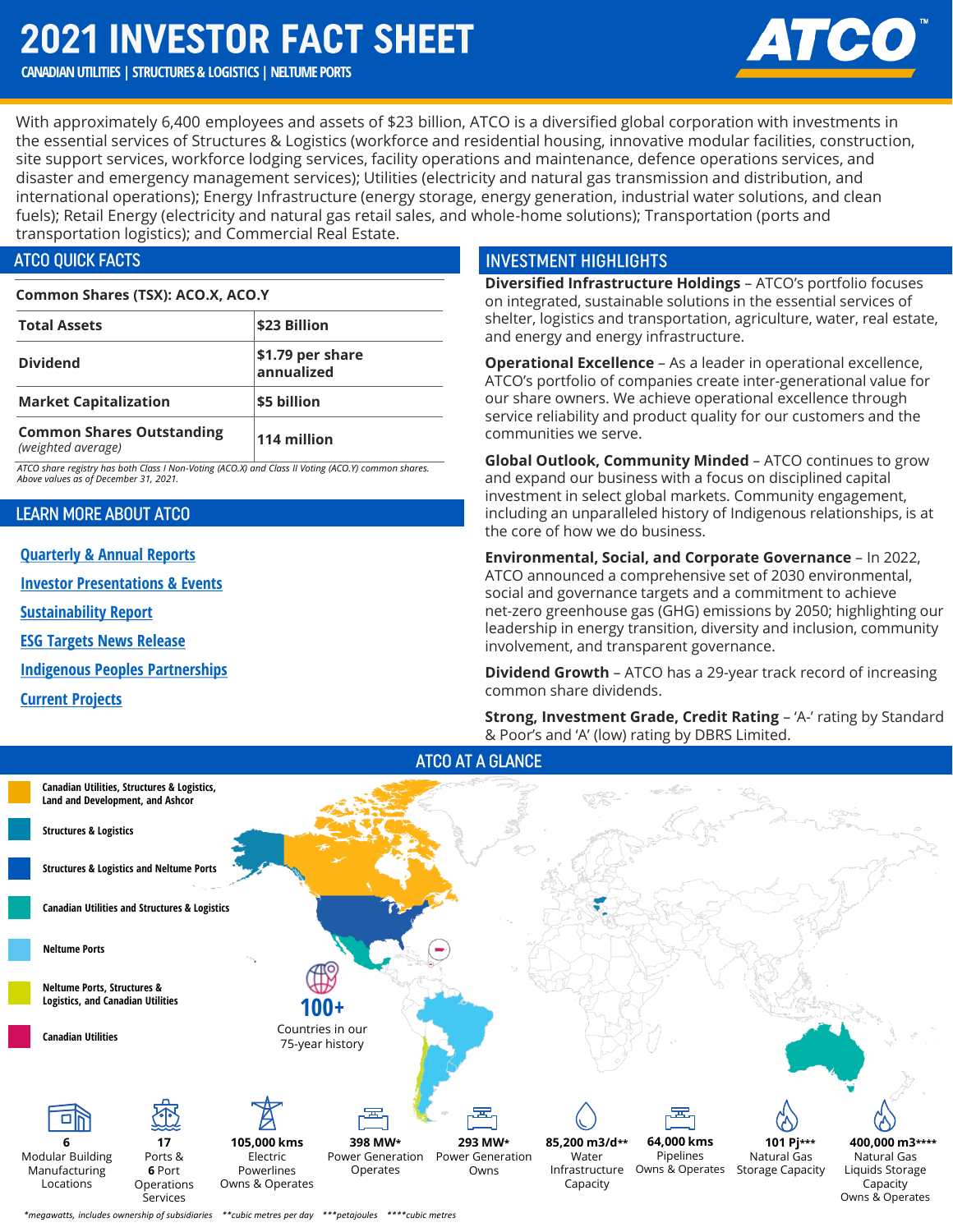# **2021 INVESTOR FACT SHEET**

## **CANADIAN UTILITIES | STRUCTURES & LOGISTICS | NELTUME PORTS**

With approximately 6,400 employees and assets of \$23 billion, ATCO is a diversified global corporation with investments in the essential services of Structures & Logistics (workforce and residential housing, innovative modular facilities, construction, site support services, workforce lodging services, facility operations and maintenance, defence operations services, and disaster and emergency management services); Utilities (electricity and natural gas transmission and distribution, and international operations); Energy Infrastructure (energy storage, energy generation, industrial water solutions, and clean fuels); Retail Energy (electricity and natural gas retail sales, and whole-home solutions); Transportation (ports and transportation logistics); and Commercial Real Estate.

## **ATCO OUICK FACTS**

#### **Common Shares (TSX): ACO.X, ACO.Y**

| <b>Total Assets</b>                                    | \$23 Billion                   |
|--------------------------------------------------------|--------------------------------|
| <b>Dividend</b>                                        | \$1.79 per share<br>annualized |
| <b>Market Capitalization</b>                           | \$5 billion                    |
| <b>Common Shares Outstanding</b><br>(weighted average) | 114 million                    |

*ATCO share registry has both Class I Non-Voting (ACO.X) and Class II Voting (ACO.Y) common shares. Above values as of December 31, 2021.*

### **LEARN MORE ABOUT ATCO**

**[Quarterly & Annual Reports](https://www.atco.com/en-ca/about-us/investors/documents-filings.html)**

**[Investor Presentations & Events](https://www.atco.com/en-ca/about-us/investors/events-presentations.html)**

**[Sustainability Report](https://www.atco.com/content/dam/web/our-commitment/sustainability/2020-sustainability-report.pdf)**

**[ESG Targets News Release](https://www.atco.com/en-ca/about-us/news/2022/122943-atco-announces-strategic-environmental-social-and-governance-tar.html)**

**[Indigenous Peoples Partnerships](https://www.atco.com/en-ca/our-commitment/partnerships-indigenous-peoples.html)**

**[Current Projects](https://www.atco.com/en-ca/projects.html)**

## **INVESTMENT HIGHLIGHTS**

**Diversified Infrastructure Holdings** – ATCO's portfolio focuses on integrated, sustainable solutions in the essential services of shelter, logistics and transportation, agriculture, water, real estate, and energy and energy infrastructure.

**Operational Excellence** – As a leader in operational excellence, ATCO's portfolio of companies create inter-generational value for our share owners. We achieve operational excellence through service reliability and product quality for our customers and the communities we serve.

**Global Outlook, Community Minded** *–* ATCO continues to grow and expand our business with a focus on disciplined capital investment in select global markets. Community engagement, including an unparalleled history of Indigenous relationships, is at the core of how we do business.

**Environmental, Social, and Corporate Governance** – In 2022, ATCO announced a comprehensive set of 2030 environmental, social and governance targets and a commitment to achieve net-zero greenhouse gas (GHG) emissions by 2050; highlighting our leadership in energy transition, diversity and inclusion, community involvement, and transparent governance.

**Dividend Growth** – ATCO has a 29-year track record of increasing common share dividends.

**Strong, Investment Grade, Credit Rating - 'A-' rating by Standard** & Poor's and 'A' (low) rating by DBRS Limited.